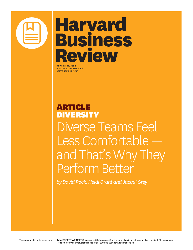

# **Harvard Business** Review

**REPRINT H03584** PUBLISHED ON HBR.ORG SEPTEMBER 22, 2016

## ARTICLE DIVERSITY Diverse Teams Feel Less Comfortable and That's Why They Perform Better

*by David Rock, Heidi Grant and Jacqui Grey*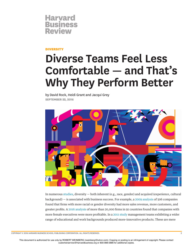

### **DIVERSITY**

## **Diverse Teams Feel Less Comfortable — and That's Why They Perform Better**

by David Rock, Heidi Grant and Jacqui Grey **SEPTEMBER 22, 2016**



In numerous studies, diversity — both inherent (e.g., race, gender) and acquired (experience, cultural background) — is associated with business success. For example, a 2009 analysis of 506 companies found that frms with more racial or gender diversity had more sales revenue, more customers, and greater profts. A 2016 analysis of more than 20,000 frms in 91 countries found that companies with more female executives were more proftable. In a 2011 study management teams exhibiting a wider range of educational and work backgrounds produced more-innovative products. These are mere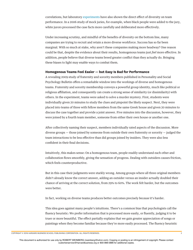correlations, but laboratory experiments have also shown the direct efect of diversity on team performance. In a 2006 study of mock juries, for example, when black people were added to the jury, white jurors processed the case facts more carefully and deliberated more efectively.

Under increasing scrutiny, and mindful of the benefts of diversity on the bottom line, many companies are trying to recruit and retain a more diverse workforce. Success has so far been marginal. With so much at stake, why aren't these companies making more headway? One reason could be that, despite the evidence about their results, homogenous teams just *feel* more efective. In addition, people believe that diverse teams breed greater confict than they actually do. Bringing these biases to light may enable ways to combat them.

### **Homogenous Teams Feel Easier — but Easy Is Bad for Performance**

A revealing 2009 study of fraternity and sorority members published in Personality and Social Psychology Bulletin ofers a remarkable window into the workings of diverse and homogenous teams. Fraternity and sorority membership conveys a powerful group identity, much like political or religious afliation, and consequently can create a strong sense of similarity (or dissimilarity) with others. In the experiment, teams were asked to solve a murder mystery. First, students were individually given 20 minutes to study the clues and pinpoint the likely suspect. Next, they were placed into teams of three with fellow members from the same Greek house and given 20 minutes to discuss the case together and provide a joint answer. Five minutes into the discussion, however, they were joined by a fourth team member, someone from either their own house or another one.

After collectively naming their suspect, members individually rated aspects of the discussion. More diverse groups — those joined by someone from outside their own fraternity or sorority — judged the team interactions to be less efective than did groups joined by insiders. They were also less confdent in their fnal decisions.

Intuitively, this makes sense: On a homogenous team, people readily understand each other and collaboration fows smoothly, giving the sensation of progress. Dealing with outsiders causes friction, which feels counterproductive.

But in this case their judgments were starkly wrong. Among groups where all three original members didn't already know the correct answer, adding an outsider versus an insider actually doubled their chance of arriving at the correct solution, from 29% to 60%. The work felt harder, but the outcomes were better.

In fact, working on diverse teams produces better outcomes precisely *because* it's harder.

This idea goes against many people's intuitions. There's a common bias that psychologists call the fuency heuristic: We prefer information that is processed more easily, or fuently, judging it to be truer or more beautiful. The efect partially explains that we gain greater appreciation of songs or paintings when they become familiar because they're more easily processed. The fuency heuristic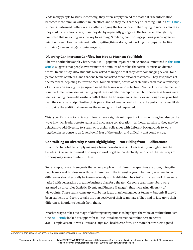leads many people to study incorrectly; they often simply reread the material. The information becomes more familiar without much effort, and so they feel that they're learning. But in a 2011 study students performed better on a test after studying the text once and then trying to recall as much as they could, a strenuous task, than they did by repeatedly going over the text, even though they predicted that rereading was the key to learning. Similarly, confronting opinions you disagree with might not seem like the quickest path to getting things done, but working in groups can be like studying (or exercising): no pain, no gain.

#### **Diversity Can Increase Conflict, but Not as Much as You Think**

There's another bias at play here, too: A 2015 paper in Organization Science, summarized in this HBR article, suggests that people overestimate the amount of confict that actually exists on diverse teams. In one study MBA students were asked to imagine that they were comanaging several fourperson teams of interns, and that one team had asked for additional resources. They saw photos of the members, depicting four white men, four black men, or two of each. They then read a transcript of a discussion among the group and rated the team on various factors. Teams of four white men and four black men were seen as having equal levels of relationship confict, but the diverse teams were seen as having more relationship confict than the homogeneous teams, even though everyone had read the same transcript. Further, this perception of greater confict made the participants less likely to provide the additional resources the mixed group had requested.

This type of unconscious bias can clearly have a signifcant impact not only on hiring but also on the ways in which leaders create teams and encourage collaboration. Without realizing it, they may be reluctant to add diversity to a team or to assign colleagues with diferent backgrounds to work together, in response to an (overblown) fear of the tension and difficulty that could ensue.

#### **Capitalizing on Diversity Means Highlighting — Not Hiding from — Differences**

It's critical to note that simply making a team more diverse is not necessarily enough to see the benefts. Diverse teams must fnd ways to work together productively, and often the best ways of working may seem counterintuitive.

For example, research suggests that when people with diferent perspectives are brought together, people may seek to gloss over those diferences in the interest of group harmony — when, in fact, diferences should actually be taken seriously and highlighted. In a 2012 study teams of three were tasked with generating a creative business plan for a theater. On some teams, members were assigned distinct roles (Artistic, Event, and Finance Manager), thus increasing diversity of viewpoints. These teams came up with better ideas than homogeneous teams — but only if they'd been explicitly told to try to take the perspectives of their teammates. They had to face up to their diferences in order to beneft from them.

Another way to take advantage of difering viewpoints is to highlight the value of multiculturalism. One 2009 study looked at support for multiculturalism versus colorblindness in nearly 4,000 employees in 18 work units at a large U.S. health care frm. The more that workers agreed